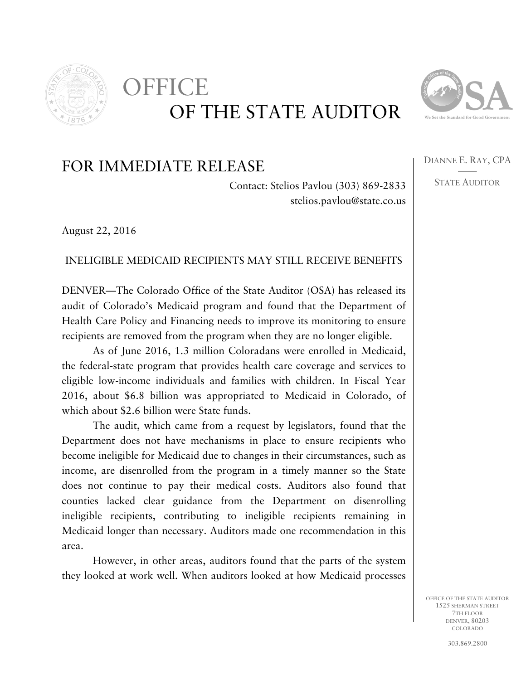

## OF THE STATE AUDITOR OFFICE



DIANNE E. RAY, CPA —— STATE AUDITOR

## FOR IMMEDIATE RELEASE

Contact: Stelios Pavlou (303) 869-2833 stelios.pavlou@state.co.us

August 22, 2016

## INELIGIBLE MEDICAID RECIPIENTS MAY STILL RECEIVE BENEFITS

DENVER—The Colorado Office of the State Auditor (OSA) has released its audit of Colorado's Medicaid program and found that the Department of Health Care Policy and Financing needs to improve its monitoring to ensure recipients are removed from the program when they are no longer eligible.

As of June 2016, 1.3 million Coloradans were enrolled in Medicaid, the federal-state program that provides health care coverage and services to eligible low-income individuals and families with children. In Fiscal Year 2016, about \$6.8 billion was appropriated to Medicaid in Colorado, of which about \$2.6 billion were State funds.

The audit, which came from a request by legislators, found that the Department does not have mechanisms in place to ensure recipients who become ineligible for Medicaid due to changes in their circumstances, such as income, are disenrolled from the program in a timely manner so the State does not continue to pay their medical costs. Auditors also found that counties lacked clear guidance from the Department on disenrolling ineligible recipients, contributing to ineligible recipients remaining in Medicaid longer than necessary. Auditors made one recommendation in this area.

However, in other areas, auditors found that the parts of the system they looked at work well. When auditors looked at how Medicaid processes

> OFFICE OF THE STATE AUDITOR 1525 SHERMAN STREET 7TH FLOOR DENVER, 80203 COLORADO

> > 303.869.2800